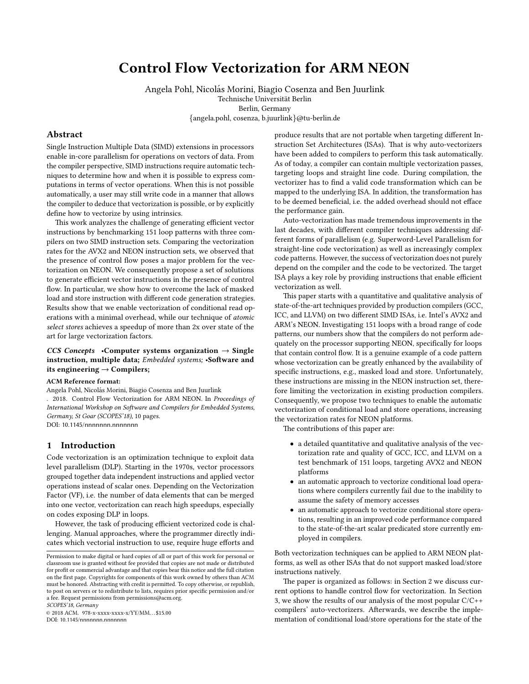# Control Flow Vectorization for ARM NEON

Angela Pohl, Nicolás Morini, Biagio Cosenza and Ben Juurlink

Technische Universität Berlin

Berlin, Germany

{angela.pohl, cosenza, b.juurlink}@tu-berlin.de

# Abstract

Single Instruction Multiple Data (SIMD) extensions in processors enable in-core parallelism for operations on vectors of data. From the compiler perspective, SIMD instructions require automatic techniques to determine how and when it is possible to express computations in terms of vector operations. When this is not possible automatically, a user may still write code in a manner that allows the compiler to deduce that vectorization is possible, or by explicitly define how to vectorize by using intrinsics.

This work analyzes the challenge of generating efficient vector instructions by benchmarking 151 loop patterns with three compilers on two SIMD instruction sets. Comparing the vectorization rates for the AVX2 and NEON instruction sets, we observed that the presence of control flow poses a major problem for the vectorization on NEON. We consequently propose a set of solutions to generate efficient vector instructions in the presence of control flow. In particular, we show how to overcome the lack of masked load and store instruction with different code generation strategies. Results show that we enable vectorization of conditional read operations with a minimal overhead, while our technique of atomic select stores achieves a speedup of more than 2x over state of the art for large vectorization factors.

## CCS Concepts •Computer systems organization  $\rightarrow$  Single instruction, multiple data; Embedded systems; •Software and its engineering  $\rightarrow$  Compilers;

#### ACM Reference format:

Angela Pohl, Nicolás Morini, Biagio Cosenza and Ben Juurlink

. 2018. Control Flow Vectorization for ARM NEON. In Proceedings of International Workshop on Software and Compilers for Embedded Systems, Germany, St Goar (SCOPES'18), [10](#page-9-0) pages. DOI: 10.1145/nnnnnnn.nnnnnnn

### 1 Introduction

Code vectorization is an optimization technique to exploit data level parallelism (DLP). Starting in the 1970s, vector processors grouped together data independent instructions and applied vector operations instead of scalar ones. Depending on the Vectorization Factor (VF), i.e. the number of data elements that can be merged into one vector, vectorization can reach high speedups, especially on codes exposing DLP in loops.

However, the task of producing efficient vectorized code is challenging. Manual approaches, where the programmer directly indicates which vectorial instruction to use, require huge efforts and

SCOPES'18, Germany

© 2018 ACM. 978-x-xxxx-xxxx-x/YY/MM. . . \$15.00 DOI: 10.1145/nnnnnnn.nnnnnnnn

produce results that are not portable when targeting different Instruction Set Architectures (ISAs). That is why auto-vectorizers have been added to compilers to perform this task automatically. As of today, a compiler can contain multiple vectorization passes, targeting loops and straight line code. During compilation, the vectorizer has to find a valid code transformation which can be mapped to the underlying ISA. In addition, the transformation has to be deemed beneficial, i.e. the added overhead should not efface the performance gain.

Auto-vectorization has made tremendous improvements in the last decades, with different compiler techniques addressing different forms of parallelism (e.g. Superword-Level Parallelism for straight-line code vectorization) as well as increasingly complex code patterns. However, the success of vectorization does not purely depend on the compiler and the code to be vectorized. The target ISA plays a key role by providing instructions that enable efficient vectorization as well.

This paper starts with a quantitative and qualitative analysis of state-of-the-art techniques provided by production compilers (GCC, ICC, and LLVM) on two different SIMD ISAs, i.e. Intel's AVX2 and ARM's NEON. Investigating 151 loops with a broad range of code patterns, our numbers show that the compilers do not perform adequately on the processor supporting NEON, specifically for loops that contain control flow. It is a genuine example of a code pattern whose vectorization can be greatly enhanced by the availability of specific instructions, e.g., masked load and store. Unfortunately, these instructions are missing in the NEON instruction set, therefore limiting the vectorization in existing production compilers. Consequently, we propose two techniques to enable the automatic vectorization of conditional load and store operations, increasing the vectorization rates for NEON platforms.

The contributions of this paper are:

- a detailed quantitative and qualitative analysis of the vectorization rate and quality of GCC, ICC, and LLVM on a test benchmark of 151 loops, targeting AVX2 and NEON platforms
- an automatic approach to vectorize conditional load operations where compilers currently fail due to the inability to assume the safety of memory accesses
- an automatic approach to vectorize conditional store operations, resulting in an improved code performance compared to the state-of-the-art scalar predicated store currently employed in compilers.

Both vectorization techniques can be applied to ARM NEON platforms, as well as other ISAs that do not support masked load/store instructions natively.

The paper is organized as follows: in Section [2](#page-1-0) we discuss current options to handle control flow for vectorization. In Section [3,](#page-1-1) we show the results of our analysis of the most popular C/C++ compilers' auto-vectorizers. Afterwards, we describe the implementation of conditional load/store operations for the state of the

Permission to make digital or hard copies of all or part of this work for personal or classroom use is granted without fee provided that copies are not made or distributed for profit or commercial advantage and that copies bear this notice and the full citation on the first page. Copyrights for components of this work owned by others than ACM must be honored. Abstracting with credit is permitted. To copy otherwise, or republish, to post on servers or to redistribute to lists, requires prior specific permission and/or a fee. Request permissions from permissions@acm.org.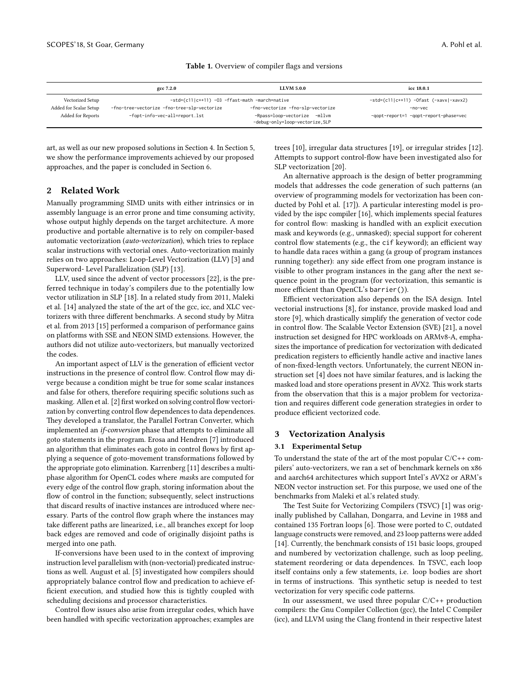<span id="page-1-2"></span>

|                        | gcc 7.2.0                                      | <b>LLVM 5.0.0</b>                                               | icc 18.0.1                               |
|------------------------|------------------------------------------------|-----------------------------------------------------------------|------------------------------------------|
| Vectorized Setup       | -std=(c11 c++11) -03 -ffast-math -march=native |                                                                 | $-std=(c11 c++11) -0fast (-xavx -xavx2)$ |
| Added for Scalar Setup | -fno-tree-vectorize -fno-tree-slp-vectorize    | -fno-vectorize -fno-slp-vectorize                               | -no-vec                                  |
| Added for Reports      | -fopt-info-vec-all=report.lst                  | -Rpass=loop-vectorize -mllvm<br>-debug-only=loop-vectorize, SLP | -gopt-report=1 -gopt-report-phase=vec    |

#### Table 1. Overview of compiler flags and versions

art, as well as our new proposed solutions in Section [4.](#page-4-0) In Section [5,](#page-7-0) we show the performance improvements achieved by our proposed approaches, and the paper is concluded in Section [6.](#page-8-0)

# <span id="page-1-0"></span>2 Related Work

Manually programming SIMD units with either intrinsics or in assembly language is an error prone and time consuming activity, whose output highly depends on the target architecture. A more productive and portable alternative is to rely on compiler-based automatic vectorization (auto-vectorization), which tries to replace scalar instructions with vectorial ones. Auto-vectorization mainly relies on two approaches: Loop-Level Vectorization (LLV) [\[3\]](#page-9-1) and Superword- Level Parallelization (SLP) [\[13\]](#page-9-2).

LLV, used since the advent of vector processors [\[22\]](#page-9-3), is the preferred technique in today's compilers due to the potentially low vector utilization in SLP [\[18\]](#page-9-4). In a related study from 2011, Maleki et al. [\[14\]](#page-9-5) analyzed the state of the art of the gcc, icc, and XLC vectorizers with three different benchmarks. A second study by Mitra et al. from 2013 [\[15\]](#page-9-6) performed a comparison of performance gains on platforms with SSE and NEON SIMD extensions. However, the authors did not utilize auto-vectorizers, but manually vectorized the codes.

An important aspect of LLV is the generation of efficient vector instructions in the presence of control flow. Control flow may diverge because a condition might be true for some scalar instances and false for others, therefore requiring specific solutions such as masking. Allen et al. [\[2\]](#page-9-7) first worked on solving control flow vectorization by converting control flow dependences to data dependences. They developed a translator, the Parallel Fortran Converter, which implemented an *if-conversion* phase that attempts to eliminate all goto statements in the program. Erosa and Hendren [\[7\]](#page-9-8) introduced an algorithm that eliminates each goto in control flows by first applying a sequence of goto-movement transformations followed by the appropriate goto elimination. Karrenberg [\[11\]](#page-9-9) describes a multiphase algorithm for OpenCL codes where masks are computed for every edge of the control flow graph, storing information about the flow of control in the function; subsequently, select instructions that discard results of inactive instances are introduced where necessary. Parts of the control flow graph where the instances may take different paths are linearized, i.e., all branches except for loop back edges are removed and code of originally disjoint paths is merged into one path.

If-conversions have been used to in the context of improving instruction level parallelism with (non-vectorial) predicated instructions as well. August et al. [\[5\]](#page-9-10) investigated how compilers should appropriately balance control flow and predication to achieve efficient execution, and studied how this is tightly coupled with scheduling decisions and processor characteristics.

Control flow issues also arise from irregular codes, which have been handled with specific vectorization approaches; examples are trees [\[10\]](#page-9-11), irregular data structures [\[19\]](#page-9-12), or irregular strides [\[12\]](#page-9-13). Attempts to support control-flow have been investigated also for SLP vectorization [\[20\]](#page-9-14).

An alternative approach is the design of better programming models that addresses the code generation of such patterns (an overview of programming models for vectorization has been conducted by Pohl et al. [\[17\]](#page-9-15)). A particular interesting model is provided by the ispc compiler [\[16\]](#page-9-16), which implements special features for control flow: masking is handled with an explicit execution mask and keywords (e.g., unmasked); special support for coherent control flow statements (e.g., the cif keyword); an efficient way to handle data races within a gang (a group of program instances running together): any side effect from one program instance is visible to other program instances in the gang after the next sequence point in the program (for vectorization, this semantic is more efficient than OpenCL's barrier()).

Efficient vectorization also depends on the ISA design. Intel vectorial instructions [\[8\]](#page-9-17), for instance, provide masked load and store [\[9\]](#page-9-18), which drastically simplify the generation of vector code in control flow. The Scalable Vector Extension (SVE) [\[21\]](#page-9-19), a novel instruction set designed for HPC workloads on ARMv8-A, emphasizes the importance of predication for vectorization with dedicated predication registers to efficiently handle active and inactive lanes of non-fixed-length vectors. Unfortunately, the current NEON instruction set [\[4\]](#page-9-20) does not have similar features, and is lacking the masked load and store operations present in AVX2. This work starts from the observation that this is a major problem for vectorization and requires different code generation strategies in order to produce efficient vectorized code.

## <span id="page-1-1"></span>3 Vectorization Analysis

### 3.1 Experimental Setup

To understand the state of the art of the most popular  $C/C++$  compilers' auto-vectorizers, we ran a set of benchmark kernels on x86 and aarch64 architectures which support Intel's AVX2 or ARM's NEON vector instruction set. For this purpose, we used one of the benchmarks from Maleki et al.'s related study.

The Test Suite for Vectorizing Compilers (TSVC) [\[1\]](#page-9-21) was originally published by Callahan, Dongarra, and Levine in 1988 and contained 135 Fortran loops [\[6\]](#page-9-22). Those were ported to C, outdated language constructs were removed, and 23 loop patterns were added [\[14\]](#page-9-5). Currently, the benchmark consists of 151 basic loops, grouped and numbered by vectorization challenge, such as loop peeling, statement reordering or data dependences. In TSVC, each loop itself contains only a few statements, i.e. loop bodies are short in terms of instructions. This synthetic setup is needed to test vectorization for very specific code patterns.

In our assessment, we used three popular C/C++ production compilers: the Gnu Compiler Collection (gcc), the Intel C Compiler (icc), and LLVM using the Clang frontend in their respective latest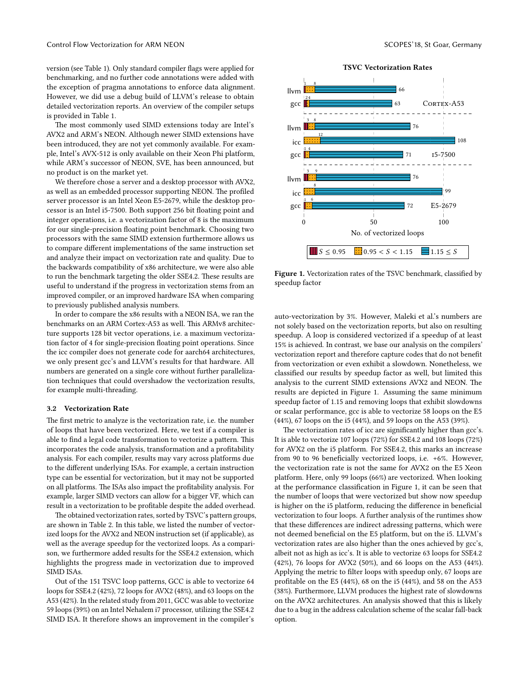version (see Table [1\)](#page-1-2). Only standard compiler flags were applied for benchmarking, and no further code annotations were added with the exception of pragma annotations to enforce data alignment. However, we did use a debug build of LLVM's release to obtain detailed vectorization reports. An overview of the compiler setups is provided in Table [1.](#page-1-2)

The most commonly used SIMD extensions today are Intel's AVX2 and ARM's NEON. Although newer SIMD extensions have been introduced, they are not yet commonly available. For example, Intel's AVX-512 is only available on their Xeon Phi platform, while ARM's successor of NEON, SVE, has been announced, but no product is on the market yet.

We therefore chose a server and a desktop processor with AVX2, as well as an embedded processor supporting NEON. The profiled server processor is an Intel Xeon E5-2679, while the desktop processor is an Intel i5-7500. Both support 256 bit floating point and integer operations, i.e. a vectorization factor of 8 is the maximum for our single-precision floating point benchmark. Choosing two processors with the same SIMD extension furthermore allows us to compare different implementations of the same instruction set and analyze their impact on vectorization rate and quality. Due to the backwards compatibility of x86 architecture, we were also able to run the benchmark targeting the older SSE4.2. These results are useful to understand if the progress in vectorization stems from an improved compiler, or an improved hardware ISA when comparing to previously published analysis numbers.

In order to compare the x86 results with a NEON ISA, we ran the benchmarks on an ARM Cortex-A53 as well. This ARMv8 architecture supports 128 bit vector operations, i.e. a maximum vectorization factor of 4 for single-precision floating point operations. Since the icc compiler does not generate code for aarch64 architectures, we only present gcc's and LLVM's results for that hardware. All numbers are generated on a single core without further parallelization techniques that could overshadow the vectorization results, for example multi-threading.

### <span id="page-2-1"></span>3.2 Vectorization Rate

The first metric to analyze is the vectorization rate, i.e. the number of loops that have been vectorized. Here, we test if a compiler is able to find a legal code transformation to vectorize a pattern. This incorporates the code analysis, transformation and a profitability analysis. For each compiler, results may vary across platforms due to the different underlying ISAs. For example, a certain instruction type can be essential for vectorization, but it may not be supported on all platforms. The ISAs also impact the profitability analysis. For example, larger SIMD vectors can allow for a bigger VF, which can result in a vectorization to be profitable despite the added overhead.

The obtained vectorization rates, sorted by TSVC's pattern groups, are shown in Table [2.](#page-3-0) In this table, we listed the number of vectorized loops for the AVX2 and NEON instruction set (if applicable), as well as the average speedup for the vectorized loops. As a comparison, we furthermore added results for the SSE4.2 extension, which highlights the progress made in vectorization due to improved SIMD ISAs.

Out of the 151 TSVC loop patterns, GCC is able to vectorize 64 loops for SSE4.2 (42%), 72 loops for AVX2 (48%), and 63 loops on the A53 (42%). In the related study from 2011, GCC was able to vectorize 59 loops (39%) on an Intel Nehalem i7 processor, utilizing the SSE4.2 SIMD ISA. It therefore shows an improvement in the compiler's

<span id="page-2-0"></span>

Figure 1. Vectorization rates of the TSVC benchmark, classified by speedup factor

auto-vectorization by 3%. However, Maleki et al.'s numbers are not solely based on the vectorization reports, but also on resulting speedup. A loop is considered vectorized if a speedup of at least 15% is achieved. In contrast, we base our analysis on the compilers' vectorization report and therefore capture codes that do not benefit from vectorization or even exhibit a slowdown. Nonetheless, we classified our results by speedup factor as well, but limited this analysis to the current SIMD extensions AVX2 and NEON. The results are depicted in Figure [1.](#page-2-0) Assuming the same minimum speedup factor of 1.15 and removing loops that exhibit slowdowns or scalar performance, gcc is able to vectorize 58 loops on the E5 (44%), 67 loops on the i5 (44%), and 59 loops on the A53 (39%).

The vectorization rates of icc are significantly higher than gcc's. It is able to vectorize 107 loops (72%) for SSE4.2 and 108 loops (72%) for AVX2 on the i5 platform. For SSE4.2, this marks an increase from 90 to 96 beneficially vectorized loops, i.e.  $+6\%$ . However, the vectorization rate is not the same for AVX2 on the E5 Xeon platform. Here, only 99 loops (66%) are vectorized. When looking at the performance classification in Figure [1,](#page-2-0) it can be seen that the number of loops that were vectorized but show now speedup is higher on the i5 platform, reducing the difference in beneficial vectorization to four loops. A further analysis of the runtimes show that these differences are indirect adressing patterns, which were not deemed beneficial on the E5 platform, but on the i5. LLVM's vectorization rates are also higher than the ones achieved by gcc's, albeit not as high as icc's. It is able to vectorize 63 loops for SSE4.2 (42%), 76 loops for AVX2 (50%), and 66 loops on the A53 (44%). Applying the metric to filter loops with speedup only, 67 loops are profitable on the E5 (44%), 68 on the i5 (44%), and 58 on the A53 (38%). Furthermore, LLVM produces the highest rate of slowdowns on the AVX2 architectures. An analysis showed that this is likely due to a bug in the address calculation scheme of the scalar fall-back option.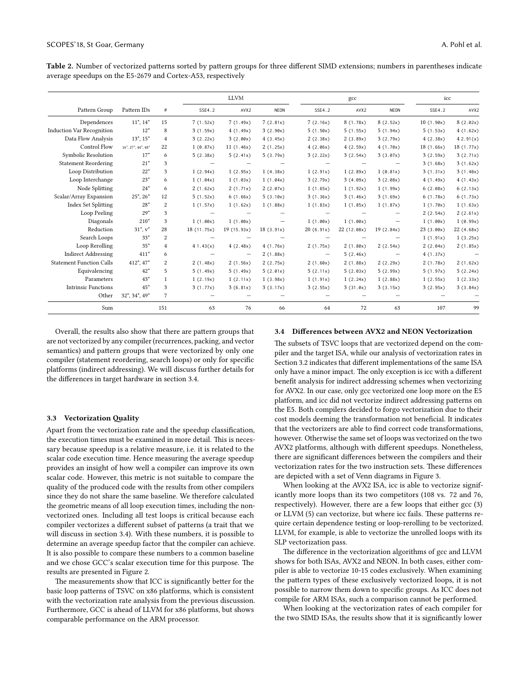<span id="page-3-0"></span>Table 2. Number of vectorized patterns sorted by pattern groups for three different SIMD extensions; numbers in parentheses indicate average speedups on the E5-2679 and Cortex-A53, respectively

|                                 |                                   |                |             | <b>LLVM</b> |             |           | gcc         | icc         |            |            |
|---------------------------------|-----------------------------------|----------------|-------------|-------------|-------------|-----------|-------------|-------------|------------|------------|
| Pattern Group                   | Pattern IDs                       | $\#$           | SSE4.2      | AVX2        | <b>NEON</b> | SSE4.2    | AVX2        | <b>NEON</b> | SSE4.2     | AVX2       |
| Dependences                     | $11^*$ , $14^*$                   | 15             | 7(1.52x)    | 7(1.49x)    | 7(2.81x)    | 7(2.16x)  | 8(1.78x)    | 8(2.52x)    | 10(1.90x)  | 8(2.02x)   |
| Induction Var Recognition       | $12*$                             | 8              | 3(1.59x)    | 4(1.49x)    | 3(2.90x)    | 5(1.50x)  | 5(1.55x)    | 5(1.94x)    | 5(1.53x)   | 4(1.62x)   |
| Data Flow Analysis              | $13^*$ , $15^*$                   | $\overline{4}$ | 3(2.22x)    | 3(2.00x)    | 4(3.45x)    | 2(2.38x)  | 2(3.89x)    | 3(2.79x)    | 4(2.38x)   | 42.91(x)   |
| Control Flow                    | $16^*$ , $27^*$ , $44^*$ , $48^*$ | 22             | 1(0.87x)    | 11(1.46x)   | 2(1.25x)    | 4(2.06x)  | 4(2.59x)    | 4(1.70x)    | 18(1.66x)  | 18 (1.77x) |
| Symbolic Resolution             | $17*$                             | 6              | 5(2.38x)    | 5(2.41x)    | 5(3.79x)    | 3(2.22x)  | 3(2.54x)    | 3(3.07x)    | 3(2.59x)   | 3(2.71x)   |
| <b>Statement Reordering</b>     | $21*$                             | 3              |             |             |             |           |             |             | 3(1.68x)   | 3(1.62x)   |
| Loop Distribution               | $22*$                             | 3              | 1(2.94x)    | 1(2.95x)    | 1(4.38x)    | 1(2.91x)  | 1(2.89x)    | 1(0.81x)    | 3(1.31x)   | 3(1.40x)   |
| Loop Interchange                | $23*$                             | 6              | 1(1.04x)    | 1(1.03x)    | 1(1.04x)    | 3(2.79x)  | 3(4.09x)    | 3(2.08x)    | 4(1.49x)   | 4(1.43x)   |
| Node Splitting                  | $24*$                             | 6              | 2(1.62x)    | 2(1.71x)    | 2(2.07x)    | 1(1.65x)  | 1(1.92x)    | 1(1.99x)    | 6(2.08x)   | 6(2.13x)   |
| Scalar/Array Expansion          | $25^*$ , $26^*$                   | 12             | 5(1.52x)    | 6(1.66x)    | 5(3.10x)    | 3(1.36x)  | 3(1.46x)    | 3(1.69x)    | 6(1.78x)   | 6(1.73x)   |
| <b>Index Set Splitting</b>      | $28*$                             | $\overline{c}$ | 1(1.57x)    | 1(1.62x)    | 1(1.88x)    | 1(1.83x)  | 1(1.85x)    | 1(1.87x)    | 1(1.70x)   | 1(1.63x)   |
| Loop Peeling                    | $29*$                             | 3              |             |             |             |           |             |             | 2(2.54x)   | 2(2.61x)   |
| Diagonals                       | $210*$                            | 3              | 1(1.00x)    | 1(1.00x)    |             | 1(1.00x)  | 1(1.00x)    |             | 1(1.00x)   | 1(0.99x)   |
| Reduction                       | $31^*$ , $v^*$                    | 28             | 18 (11.75x) | 19 (15.93x) | 18(3.91x)   | 20(6.91x) | 22 (12.08x) | 19(2.84x)   | 23 (3.00x) | 22(4.68x)  |
| Search Loops                    | $33*$                             | $\overline{c}$ |             |             |             |           |             |             | 1(1.91x)   | 1(3.25x)   |
| Loop Rerolling                  | $35*$                             | $\overline{4}$ | 41.43(x)    | 4(2.48x)    | 4(1.76x)    | 2(1.75x)  | 2(1.80x)    | 2(2.54x)    | 2(2.04x)   | 2(1.85x)   |
| <b>Indirect Addressing</b>      | $411*$                            | 6              |             |             | 2(1.88x)    | -         | 5(2.46x)    |             | 4(1.37x)   |            |
| <b>Statement Function Calls</b> | $412^*$ , $47^*$                  | 2              | 2(1.48x)    | 2(1.56x)    | 2(2.75x)    | 2(1.60x)  | 2(1.88x)    | 2(2.29x)    | 2(1.78x)   | 2(1.62x)   |
| Equivalencing                   | $42*$                             | 5              | 5(1.49x)    | 5(1.49x)    | 5(2.01x)    | 5(2.11x)  | 5(2.03x)    | 5(2.99x)    | 5(1.97x)   | 5(2.24x)   |
| Parameters                      | $43*$                             | $\mathbf{1}$   | 1(2.19x)    | 1(2.11x)    | 1(3.98x)    | 1(1.91x)  | 1(2.24x)    | 1(2.88x)    | 1(2.55x)   | 1(2.33x)   |
| <b>Intrinsic Functions</b>      | $45*$                             | 3              | 3(1.77x)    | 3(6.81x)    | 3(3.17x)    | 3(2.55x)  | 3(31.0x)    | 3(3.15x)    | 3(2.95x)   | 3(3.84x)   |
| Other                           | $32^*$ , $34^*$ , $49^*$          | 7              |             |             |             |           |             |             |            |            |
| Sum                             |                                   | 151            | 63          | 76          | 66          | 64        | 72          | 63          | 107        | 99         |

Overall, the results also show that there are pattern groups that are not vectorized by any compiler (recurrences, packing, and vector semantics) and pattern groups that were vectorized by only one compiler (statement reordering, search loops) or only for specific platforms (indirect addressing). We will discuss further details for the differences in target hardware in section [3.4.](#page-3-1)

### 3.3 Vectorization Quality

Apart from the vectorization rate and the speedup classification, the execution times must be examined in more detail. This is necessary because speedup is a relative measure, i.e. it is related to the scalar code execution time. Hence measuring the average speedup provides an insight of how well a compiler can improve its own scalar code. However, this metric is not suitable to compare the quality of the produced code with the results from other compilers since they do not share the same baseline. We therefore calculated the geometric means of all loop execution times, including the nonvectorized ones. Including all test loops is critical because each compiler vectorizes a different subset of patterns (a trait that we will discuss in section [3.4\)](#page-3-1). With these numbers, it is possible to determine an average speedup factor that the compiler can achieve. It is also possible to compare these numbers to a common baseline and we chose GCC's scalar execution time for this purpose. The results are presented in Figure [2.](#page-4-1)

The measurements show that ICC is significantly better for the basic loop patterns of TSVC on x86 platforms, which is consistent with the vectorization rate analysis from the previous discussion. Furthermore, GCC is ahead of LLVM for x86 platforms, but shows comparable performance on the ARM processor.

### <span id="page-3-1"></span>3.4 Differences between AVX2 and NEON Vectorization

The subsets of TSVC loops that are vectorized depend on the compiler and the target ISA, while our analysis of vectorization rates in Section [3.2](#page-2-1) indicates that different implementations of the same ISA only have a minor impact. The only exception is icc with a different benefit analysis for indirect addressing schemes when vectorizing for AVX2. In our case, only gcc vectorized one loop more on the E5 platform, and icc did not vectorize indirect addressing patterns on the E5. Both compilers decided to forgo vectorization due to their cost models deeming the transformation not beneficial. It indicates that the vectorizers are able to find correct code transformations, however. Otherwise the same set of loops was vectorized on the two AVX2 platforms, although with different speedups. Nonetheless, there are significant differences between the compilers and their vectorization rates for the two instruction sets. These differences are depicted with a set of Venn diagrams in Figure [3.](#page-4-2)

When looking at the AVX2 ISA, icc is able to vectorize significantly more loops than its two competitors (108 vs. 72 and 76, respectively). However, there are a few loops that either gcc (3) or LLVM (5) can vectorize, but where icc fails. These patterns require certain dependence testing or loop-rerolling to be vectorized. LLVM, for example, is able to vectorize the unrolled loops with its SLP vectorization pass.

The difference in the vectorization algorithms of gcc and LLVM shows for both ISAs, AVX2 and NEON. In both cases, either compiler is able to vectorize 10-15 codes exclusively. When examining the pattern types of these exclusively vectorized loops, it is not possible to narrow them down to specific groups. As ICC does not compile for ARM ISAs, such a comparison cannot be performed.

When looking at the vectorization rates of each compiler for the two SIMD ISAs, the results show that it is significantly lower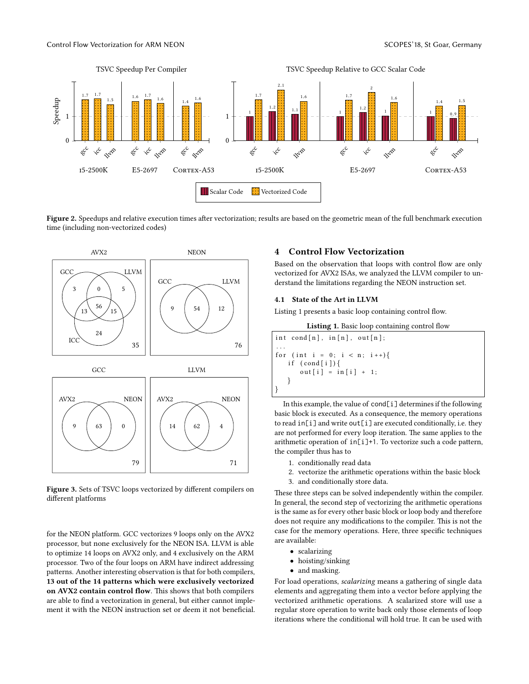<span id="page-4-1"></span>

Figure 2. Speedups and relative execution times after vectorization; results are based on the geometric mean of the full benchmark execution time (including non-vectorized codes)

<span id="page-4-2"></span>

Figure 3. Sets of TSVC loops vectorized by different compilers on different platforms

for the NEON platform. GCC vectorizes 9 loops only on the AVX2 processor, but none exclusively for the NEON ISA. LLVM is able to optimize 14 loops on AVX2 only, and 4 exclusively on the ARM processor. Two of the four loops on ARM have indirect addressing patterns. Another interesting observation is that for both compilers, 13 out of the 14 patterns which were exclusively vectorized on AVX2 contain control flow. This shows that both compilers are able to find a vectorization in general, but either cannot implement it with the NEON instruction set or deem it not beneficial.

# <span id="page-4-0"></span>4 Control Flow Vectorization

Based on the observation that loops with control flow are only vectorized for AVX2 ISAs, we analyzed the LLVM compiler to understand the limitations regarding the NEON instruction set.

# <span id="page-4-4"></span>4.1 State of the Art in LLVM

<span id="page-4-3"></span>Listing [1](#page-4-3) presents a basic loop containing control flow.

```
Listing 1. Basic loop containing control flow
```

```
int cond [n], in [n], out [n];
. . .
for (int i = 0; i < n; i + +) {
   if (\text{cond}[i]) {
       out[i] = in[i] + 1;}
}
```
In this example, the value of cond[i] determines if the following basic block is executed. As a consequence, the memory operations to read in[i] and write out[i] are executed conditionally, i.e. they are not performed for every loop iteration. The same applies to the arithmetic operation of  $in[i]+1$ . To vectorize such a code pattern, the compiler thus has to

- 1. conditionally read data
- 2. vectorize the arithmetic operations within the basic block
- 3. and conditionally store data.

These three steps can be solved independently within the compiler. In general, the second step of vectorizing the arithmetic operations is the same as for every other basic block or loop body and therefore does not require any modifications to the compiler. This is not the case for the memory operations. Here, three specific techniques are available:

- scalarizing
- hoisting/sinking
- and masking.

For load operations, scalarizing means a gathering of single data elements and aggregating them into a vector before applying the vectorized arithmetic operations. A scalarized store will use a regular store operation to write back only those elements of loop iterations where the conditional will hold true. It can be used with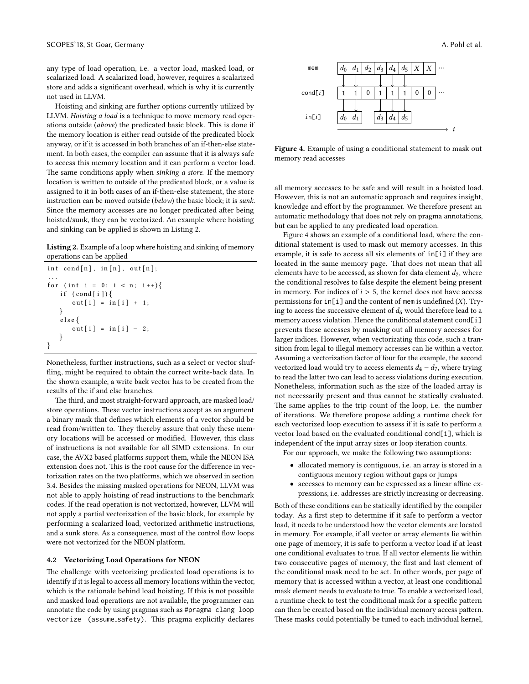any type of load operation, i.e. a vector load, masked load, or scalarized load. A scalarized load, however, requires a scalarized store and adds a significant overhead, which is why it is currently not used in LLVM.

Hoisting and sinking are further options currently utilized by LLVM. Hoisting a load is a technique to move memory read operations outside (above) the predicated basic block. This is done if the memory location is either read outside of the predicated block anyway, or if it is accessed in both branches of an if-then-else statement. In both cases, the compiler can assume that it is always safe to access this memory location and it can perform a vector load. The same conditions apply when sinking a store. If the memory location is written to outside of the predicated block, or a value is assigned to it in both cases of an if-then-else statement, the store instruction can be moved outside (below) the basic block; it is sunk. Since the memory accesses are no longer predicated after being hoisted/sunk, they can be vectorized. An example where hoisting and sinking can be applied is shown in Listing [2.](#page-5-0)

<span id="page-5-0"></span>Listing 2. Example of a loop where hoisting and sinking of memory operations can be applied

```
int \; \text{cond}[n], \; \text{in}[n], \; \text{out}[n];. . .
for (int i = 0; i < n; i++){
    if (cond[i]) {
        out[i] = in[i] + 1;}
    e l s e {
        out[i] = in[i] - 2;}
}
```
Nonetheless, further instructions, such as a select or vector shuf fling, might be required to obtain the correct write-back data. In the shown example, a write back vector has to be created from the results of the if and else branches.

The third, and most straight-forward approach, are masked load/ store operations. These vector instructions accept as an argument a binary mask that defines which elements of a vector should be read from/written to. They thereby assure that only these memory locations will be accessed or modified. However, this class of instructions is not available for all SIMD extensions. In our case, the AVX2 based platforms support them, while the NEON ISA extension does not. This is the root cause for the difference in vectorization rates on the two platforms, which we observed in section [3.4.](#page-3-1) Besides the missing masked operations for NEON, LLVM was not able to apply hoisting of read instructions to the benchmark codes. If the read operation is not vectorized, however, LLVM will not apply a partial vectorization of the basic block, for example by performing a scalarized load, vectorized arithmetic instructions, and a sunk store. As a consequence, most of the control flow loops were not vectorized for the NEON platform.

### 4.2 Vectorizing Load Operations for NEON

The challenge with vectorizing predicated load operations is to identify if it is legal to access all memory locations within the vector, which is the rationale behind load hoisting. If this is not possible and masked load operations are not available, the programmer can annotate the code by using pragmas such as #pragma clang loop vectorize (assume\_safety). This pragma explicitly declares

<span id="page-5-1"></span>

Figure 4. Example of using a conditional statement to mask out memory read accesses

all memory accesses to be safe and will result in a hoisted load. However, this is not an automatic approach and requires insight, knowledge and effort by the programmer. We therefore present an automatic methodology that does not rely on pragma annotations, but can be applied to any predicated load operation.

Figure [4](#page-5-1) shows an example of a conditional load, where the conditional statement is used to mask out memory accesses. In this example, it is safe to access all six elements of in[i] if they are located in the same memory page. That does not mean that all elements have to be accessed, as shown for data element  $d_2$ , where the conditional resolves to false despite the element being present in memory. For indices of  $i > 5$ , the kernel does not have access permissions for  $in[i]$  and the content of mem is undefined  $(X)$ . Trying to access the successive element of  $d_6$  would therefore lead to a memory access violation. Hence the conditional statement cond[i] prevents these accesses by masking out all memory accesses for larger indices. However, when vectorizating this code, such a transition from legal to illegal memory accesses can lie within a vector. Assuming a vectorization factor of four for the example, the second vectorized load would try to access elements  $d_4 - d_7$ , where trying to read the latter two can lead to access violations during execution. Nonetheless, information such as the size of the loaded array is not necessarily present and thus cannot be statically evaluated. The same applies to the trip count of the loop, i.e. the number of iterations. We therefore propose adding a runtime check for each vectorized loop execution to assess if it is safe to perform a vector load based on the evaluated conditional cond[i], which is independent of the input array sizes or loop iteration counts.

For our approach, we make the following two assumptions:

- allocated memory is contiguous, i.e. an array is stored in a contiguous memory region without gaps or jumps
- $\bullet$  accesses to memory can be expressed as a linear affine expressions, i.e. addresses are strictly increasing or decreasing.

Both of these conditions can be statically identified by the compiler today. As a first step to determine if it safe to perform a vector load, it needs to be understood how the vector elements are located in memory. For example, if all vector or array elements lie within one page of memory, it is safe to perform a vector load if at least one conditional evaluates to true. If all vector elements lie within two consecutive pages of memory, the first and last element of the conditional mask need to be set. In other words, per page of memory that is accessed within a vector, at least one conditional mask element needs to evaluate to true. To enable a vectorized load, a runtime check to test the conditional mask for a specific pattern can then be created based on the individual memory access pattern. These masks could potentially be tuned to each individual kernel,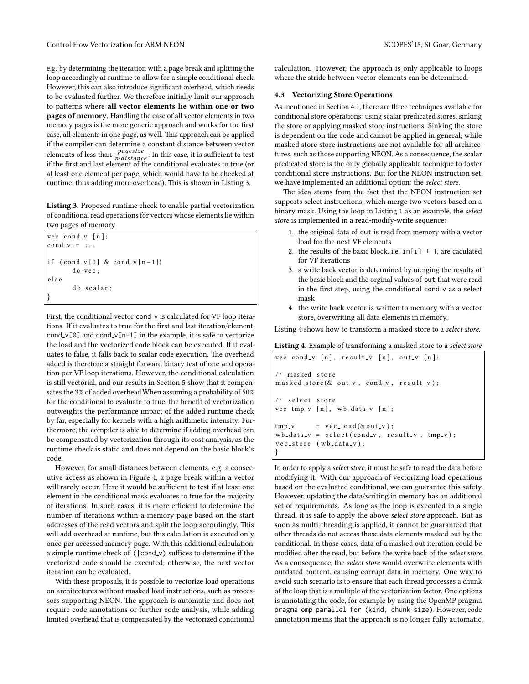e.g. by determining the iteration with a page break and splitting the loop accordingly at runtime to allow for a simple conditional check. However, this can also introduce significant overhead, which needs to be evaluated further. We therefore initially limit our approach to patterns where all vector elements lie within one or two pages of memory. Handling the case of all vector elements in two memory pages is the more generic approach and works for the first case, all elements in one page, as well. This approach can be applied if the compiler can determine a constant distance between vector elements of less than  $\frac{pagesize}{n\cdot distance}$ . In this case, it is sufficient to test<br>if the first and last element of the conditional evaluates to true (or if the first and last element of the conditional evaluates to true (or at least one element per page, which would have to be checked at runtime, thus adding more overhead). This is shown in Listing [3.](#page-6-0)

<span id="page-6-0"></span>Listing 3. Proposed runtime check to enable partial vectorization of conditional read operations for vectors whose elements lie within two pages of memory

```
vec cond_v [n];
cond_v = \ldotsif ( cond_v [0] & cond_v [n-1])do vec ;
e l s e
       do _s calar :
}
```
First, the conditional vector cond v is calculated for VF loop iterations. If it evaluates to true for the first and last iteration/element, cond v[0] and cond v[n-1] in the example, it is safe to vectorize the load and the vectorized code block can be executed. If it evaluates to false, it falls back to scalar code execution. The overhead added is therefore a straight forward binary test of one and operation per VF loop iterations. However, the conditional calculation is still vectorial, and our results in Section [5](#page-7-0) show that it compensates the 3% of added overhead.When assuming a probability of 50% for the conditional to evaluate to true, the benefit of vectorization outweights the performance impact of the added runtime check by far, especially for kernels with a high arithmetic intensity. Furthermore, the compiler is able to determine if adding overhead can be compensated by vectorization through its cost analysis, as the runtime check is static and does not depend on the basic block's code.

However, for small distances between elements, e.g. a consecutive access as shown in Figure [4,](#page-5-1) a page break within a vector will rarely occur. Here it would be sufficient to test if at least one element in the conditional mask evaluates to true for the majority of iterations. In such cases, it is more efficient to determine the number of iterations within a memory page based on the start addresses of the read vectors and split the loop accordingly. This will add overhead at runtime, but this calculation is executed only once per accessed memory page. With this additional calculation, a simple runtime check of (|cond\_v) suffices to determine if the vectorized code should be executed; otherwise, the next vector iteration can be evaluated.

With these proposals, it is possible to vectorize load operations on architectures without masked load instructions, such as processors supporting NEON. The approach is automatic and does not require code annotations or further code analysis, while adding limited overhead that is compensated by the vectorized conditional

calculation. However, the approach is only applicable to loops where the stride between vector elements can be determined.

### 4.3 Vectorizing Store Operations

As mentioned in Section [4.1,](#page-4-4) there are three techniques available for conditional store operations: using scalar predicated stores, sinking the store or applying masked store instructions. Sinking the store is dependent on the code and cannot be applied in general, while masked store store instructions are not available for all architectures, such as those supporting NEON. As a consequence, the scalar predicated store is the only globally applicable technique to foster conditional store instructions. But for the NEON instruction set, we have implemented an additional option: the select store.

The idea stems from the fact that the NEON instruction set supports select instructions, which merge two vectors based on a binary mask. Using the loop in Listing [1](#page-4-3) as an example, the select store is implemented in a read-modify-write sequence:

- 1. the original data of out is read from memory with a vector load for the next VF elements
- 2. the results of the basic block, i.e.  $in[i] + 1$ , are caculated for VF iterations
- 3. a write back vector is determined by merging the results of the basic block and the orginal values of out that were read in the first step, using the conditional cond\_v as a select mask
- 4. the write back vector is written to memory with a vector store, overwriting all data elements in memory.

Listing [4](#page-6-1) shows how to transform a masked store to a select store.

<span id="page-6-1"></span>Listing 4. Example of transforming a masked store to a select store

```
vec cond_v [n], result_v [n], out_v [n];
// masked store
masked\_store(&\text{ out}_v, cond_v, result_v);// select store
vec tmp_v [n], wb_data_v [n];tmp_v = vec\_load(\&out_v);wb\_data_v = select(cond_v, result_v, tmp_v);vec_c store (wb_data_v);
}
```
In order to apply a select store, it must be safe to read the data before modifying it. With our approach of vectorizing load operations based on the evaluated conditional, we can guarantee this safety. However, updating the data/writing in memory has an additional set of requirements. As long as the loop is executed in a single thread, it is safe to apply the above select store approach. But as soon as multi-threading is applied, it cannot be guaranteed that other threads do not access those data elements masked out by the conditional. In those cases, data of a masked out iteration could be modified after the read, but before the write back of the select store. As a consequence, the select store would overwrite elements with outdated content, causing corrupt data in memory. One way to avoid such scenario is to ensure that each thread processes a chunk of the loop that is a multiple of the vectorization factor. One options is annotating the code, for example by using the OpenMP pragma pragma omp parallel for (kind, chunk size). However, code annotation means that the approach is no longer fully automatic.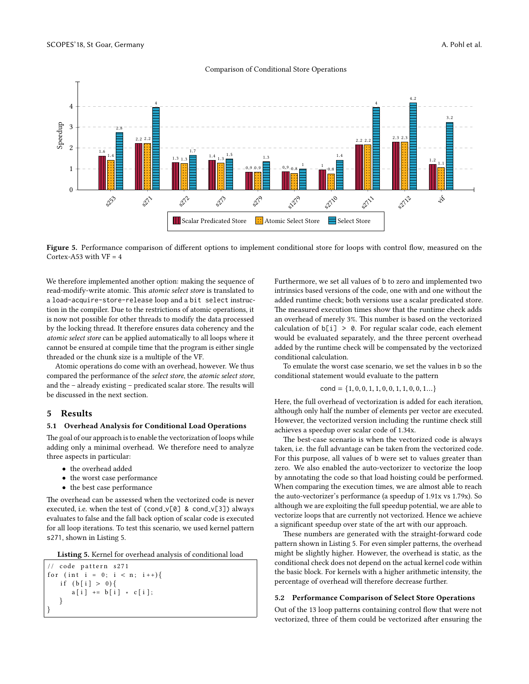

<span id="page-7-2"></span>

Figure 5. Performance comparison of different options to implement conditional store for loops with control flow, measured on the Cortex-A53 with  $VF = 4$ 

We therefore implemented another option: making the sequence of read-modify-write atomic. This atomic select store is translated to a load-acquire-store-release loop and a bit select instruction in the compiler. Due to the restrictions of atomic operations, it is now not possible for other threads to modify the data processed by the locking thread. It therefore ensures data coherency and the atomic select store can be applied automatically to all loops where it cannot be ensured at compile time that the program is either single threaded or the chunk size is a multiple of the VF.

Atomic operations do come with an overhead, however. We thus compared the performance of the select store, the atomic select store, and the  $-$  already existing  $-$  predicated scalar store. The results will be discussed in the next section.

# <span id="page-7-0"></span>5 Results

#### 5.1 Overhead Analysis for Conditional Load Operations

The goal of our approach is to enable the vectorization of loops while adding only a minimal overhead. We therefore need to analyze three aspects in particular:

- the overhead added
- the worst case performance
- the best case performance

The overhead can be assessed when the vectorized code is never executed, i.e. when the test of (cond\_v[0] & cond\_v[3]) always evaluates to false and the fall back option of scalar code is executed for all loop iterations. To test this scenario, we used kernel pattern s271, shown in Listing [5.](#page-7-1)

<span id="page-7-1"></span>Listing 5. Kernel for overhead analysis of conditional load

```
// code pattern s271for (int i = 0; i < n; i++){
   if (b[i] > 0)a[i] += b[i] * c[i];
   }
}
```
Furthermore, we set all values of b to zero and implemented two intrinsics based versions of the code, one with and one without the added runtime check; both versions use a scalar predicated store. The measured execution times show that the runtime check adds an overhead of merely 3%. This number is based on the vectorized calculation of b[i] > 0. For regular scalar code, each element would be evaluated separately, and the three percent overhead added by the runtime check will be compensated by the vectorized conditional calculation.

To emulate the worst case scenario, we set the values in b so the conditional statement would evaluate to the pattern

$$
\text{cond} = \{1, 0, 0, 1, 1, 0, 0, 1, 1, 0, 0, 1...\}
$$

Here, the full overhead of vectorization is added for each iteration, although only half the number of elements per vector are executed. However, the vectorized version including the runtime check still achieves a speedup over scalar code of 1.34x.

The best-case scenario is when the vectorized code is always taken, i.e. the full advantage can be taken from the vectorized code. For this purpose, all values of b were set to values greater than zero. We also enabled the auto-vectorizer to vectorize the loop by annotating the code so that load hoisting could be performed. When comparing the execution times, we are almost able to reach the auto-vectorizer's performance (a speedup of 1.91x vs 1.79x). So although we are exploiting the full speedup potential, we are able to vectorize loops that are currently not vectorized. Hence we achieve a significant speedup over state of the art with our approach.

These numbers are generated with the straight-forward code pattern shown in Listing [5.](#page-7-1) For even simpler patterns, the overhead might be slightly higher. However, the overhead is static, as the conditional check does not depend on the actual kernel code within the basic block. For kernels with a higher arithmetic intensity, the percentage of overhead will therefore decrease further.

### 5.2 Performance Comparison of Select Store Operations

Out of the 13 loop patterns containing control flow that were not vectorized, three of them could be vectorized after ensuring the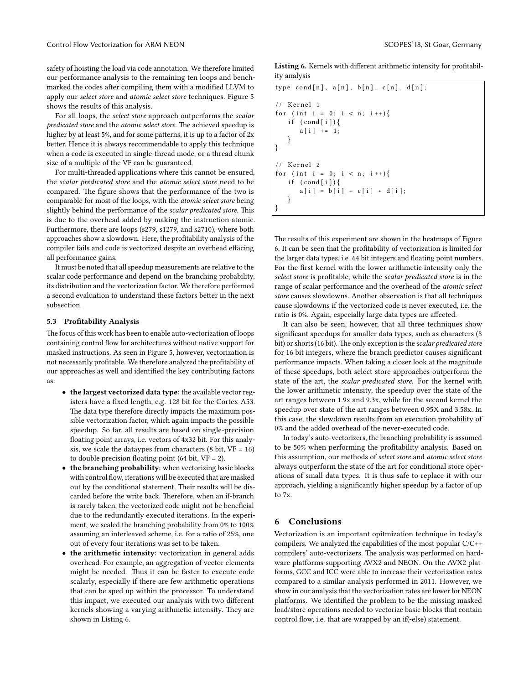safety of hoisting the load via code annotation. We therefore limited our performance analysis to the remaining ten loops and benchmarked the codes after compiling them with a modified LLVM to apply our select store and atomic select store techniques. Figure [5](#page-7-2) shows the results of this analysis.

For all loops, the select store approach outperforms the scalar predicated store and the atomic select store. The achieved speedup is higher by at least 5%, and for some patterns, it is up to a factor of  $2x$ better. Hence it is always recommendable to apply this technique when a code is executed in single-thread mode, or a thread chunk size of a multiple of the VF can be guaranteed.

For multi-threaded applications where this cannot be ensured, the scalar predicated store and the atomic select store need to be compared. The figure shows that the performance of the two is comparable for most of the loops, with the atomic select store being slightly behind the performance of the scalar predicated store. This is due to the overhead added by making the instruction atomic. Furthermore, there are loops (s279, s1279, and s2710), where both approaches show a slowdown. Here, the profitability analysis of the compiler fails and code is vectorized despite an overhead effacing all performance gains.

It must be noted that all speedup measurements are relative to the scalar code performance and depend on the branching probability, its distribution and the vectorization factor. We therefore performed a second evaluation to understand these factors better in the next subsection.

### 5.3 Profitability Analysis

The focus of this work has been to enable auto-vectorization of loops containing control flow for architectures without native support for masked instructions. As seen in Figure [5,](#page-7-2) however, vectorization is not necessarily profitable. We therefore analyzed the profitability of our approaches as well and identified the key contributing factors as:

- the largest vectorized data type: the available vector registers have a fixed length, e.g. 128 bit for the Cortex-A53. The data type therefore directly impacts the maximum possible vectorization factor, which again impacts the possible speedup. So far, all results are based on single-precision floating point arrays, i.e. vectors of 4x32 bit. For this analysis, we scale the dataypes from characters  $(8 \text{ bit}, \text{VF} = 16)$ to double precision floating point (64 bit,  $VF = 2$ ).
- the branching probability: when vectorizing basic blocks with control flow, iterations will be executed that are masked out by the conditional statement. Their results will be discarded before the write back. Therefore, when an if-branch is rarely taken, the vectorized code might not be beneficial due to the redundantly executed iterations. In the experiment, we scaled the branching probability from 0% to 100% assuming an interleaved scheme, i.e. for a ratio of 25%, one out of every four iterations was set to be taken.
- the arithmetic intensity: vectorization in general adds overhead. For example, an aggregation of vector elements might be needed. Thus it can be faster to execute code scalarly, especially if there are few arithmetic operations that can be sped up within the processor. To understand this impact, we executed our analysis with two different kernels showing a varying arithmetic intensity. They are shown in Listing [6.](#page-8-1)

<span id="page-8-1"></span>Listing 6. Kernels with different arithmetic intensity for profitability analysis

```
type \, cond[n], a[n], b[n], c[n], d[n];// Kernel 1
for (int i = 0; i < n; i + +) {
   if (cond[i]){
       a[i] += 1;
   }
}
// Kernel 2
for (int i = 0; i < n; i++){
   if (\text{cond} [\; i \;])a[i] = b[i] + c[i] * d[i];}
}
```
The results of this experiment are shown in the heatmaps of Figure [6.](#page-9-23) It can be seen that the profitability of vectorization is limited for the larger data types, i.e. 64 bit integers and floating point numbers. For the first kernel with the lower arithmetic intensity only the select store is profitable, while the scalar predicated store is in the range of scalar performance and the overhead of the atomic select store causes slowdowns. Another observation is that all techniques cause slowdowns if the vectorized code is never executed, i.e. the ratio is 0%. Again, especially large data types are affected.

It can also be seen, however, that all three techniques show significant speedups for smaller data types, such as characters (8 bit) or shorts (16 bit). The only exception is the scalar predicated store for 16 bit integers, where the branch predictor causes significant performance impacts. When taking a closer look at the magnitude of these speedups, both select store approaches outperform the state of the art, the scalar predicated store. For the kernel with the lower arithmetic intensity, the speedup over the state of the art ranges between 1.9x and 9.3x, while for the second kernel the speedup over state of the art ranges between 0.95X and 3.58x. In this case, the slowdown results from an execution probability of 0% and the added overhead of the never-executed code.

In today's auto-vectorizers, the branching probability is assumed to be 50% when performing the profitability analysis. Based on this assumption, our methods of select store and atomic select store always outperform the state of the art for conditional store operations of small data types. It is thus safe to replace it with our approach, yielding a significantly higher speedup by a factor of up to 7x.

# <span id="page-8-0"></span>6 Conclusions

Vectorization is an important opitmization technique in today's compilers. We analyzed the capabilities of the most popular C/C++ compilers' auto-vectorizers. The analysis was performed on hardware platforms supporting AVX2 and NEON. On the AVX2 platforms, GCC and ICC were able to increase their vectorization rates compared to a similar analysis performed in 2011. However, we show in our analysis that the vectorization rates are lower for NEON platforms. We identified the problem to be the missing masked load/store operations needed to vectorize basic blocks that contain control flow, i.e. that are wrapped by an if(-else) statement.